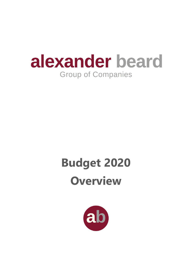

# **Budget 2020 Overview**

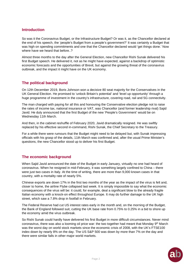### **Introduction**

So was it the Coronavirus Budget, or the Infrastructure Budget? Or was it, as the Chancellor declared at the end of his speech, the 'people's Budget from a people's government?' It was certainly a Budget that was high on spending commitments and one that the Chancellor declared would 'get things done.' Now where have we heard that before..?

Almost three months to the day after the General Election, new Chancellor Rishi Sunak delivered his first Budget speech. He delivered it, not as he might have expected, against a backdrop of optimistic economic forecasts and the opportunities of Brexit, but against the growing threat of the coronavirus outbreak, and the impact it might have on the UK economy.

# **The political background**

On 12th December 2019, Boris Johnson won a decisive 80 seat majority for the Conservatives in the UK General Election. He promised to 'unlock Britain's potential' and 'level up opportunity' through a huge programme of investment in the country's infrastructure, covering road, rail and 5G connectivity.

The man charged with paying for all this and honouring the Conservative election pledge not to raise the rates of income tax, national insurance or VAT, was Chancellor (and former leadership rival) Sajid Javid. He duly announced that the first Budget of the new 'People's Government' would be on Wednesday 11th March.

And then, in the cabinet reshuffle of February 2020, Javid dramatically resigned. He was swiftly replaced by his effective second in-command, Rishi Sunak, the Chief Secretary to the Treasury.

For a while there were rumours that the Budget might need to be delayed but, with Sunak impressing officials with his grasp of the details, 11th March was confirmed and, after the usual Prime Minister's questions, the new Chancellor stood up to deliver his first Budget.

# **The economic background**

When Sajid Javid announced the date of the Budget in early January, virtually no one had heard of coronavirus. When he resigned in mid-February, it was something largely confined to China – there were just two cases in Italy. At the time of writing, there are more than 9,000 known cases in that country, with a mortality rate of nearly 5%.

Chinese exports are down 17% in the first two months of the year as the impact of the virus is felt and, closer to home, the airline Flybe collapsed last week. It is simply impossible to say what the economic consequences of the virus will be: it could, for example, deal a significant blow to the already fragile Italian economy with a knock-on effect throughout Europe. It may do further damage to the UK high street, which saw a 7.8% drop in footfall in February.

The Federal Reserve had cut US interest rates early in the month and, on the morning of the Budget, the Bank of England followed suit, cutting the UK base rate from 0.75% to 0.25% in a bid to shore up the economy amid the virus outbreak.

So Rishi Sunak could hardly have delivered his first Budget in more difficult circumstances. Never mind coronavirus, there was also a looming oil price war: the two together had meant that Monday 9th March was the worst day on world stock markets since the economic crisis of 2008, with the UK's FTSE100 index down by nearly 8% on the day. The US S&P 500 was down by more than 7% on the day and there were similar falls in other major world markets.

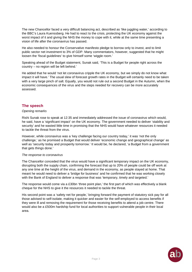The new Chancellor faced a very difficult balancing act, described as 'like juggling water,' according to the BBC's Laura Kuenssberg. He had to react to the crisis, protecting the UK economy against the worst impact of it and giving the NHS the money to cope with it, while at the same time presenting a vision of life after the coronavirus has passed.

He also needed to honour the Conservative manifesto pledge to borrow only to invest, and to limit public sector net investment to 3% of GDP. Many commentators, however, suggested that he might loosen the 'fiscal guidelines' to give himself some 'wiggle room.'

Speaking ahead of the Budget statement, Sunak said, 'This is a Budget for people right across the country – no region will be left behind.'

He added that he would 'not let coronavirus cripple the UK economy, but we simply do not know what impact it will have.' The usual slew of forecast growth rates in the Budget will certainly need to be taken with a very large pinch of salt. Equally, you would not rule out a second Budget in the Autumn, when the economic consequences of the virus and the steps needed for recovery can be more accurately assessed.

#### **The speech**

#### *Opening remarks*

Rishi Sunak rose to speak at 12:35 and immediately addressed the issue of coronavirus which would, he said, have a 'significant impact' on the UK economy. The government needed to deliver 'stability and security' and he wasted little time in promising that the NHS would have whatever resources it needed to tackle the threat from the virus.

However, while coronavirus was a 'key challenge facing our country today,' it was 'not the only challenge,' as he promised a Budget that would deliver 'economic change and geographical change' as well as 'security today and prosperity tomorrow.' It would be, he declared, 'a Budget from a government that gets things done.'

#### *The response to coronavirus*

The Chancellor conceded that the virus would have a significant temporary impact on the UK economy, disrupting both the supply chain, confirming the forecast that up to 20% of people could be off work at any one time at the height of the virus, and demand in the economy, as people stayed at home. That meant he would need to deliver a 'bridge for business' and he confirmed that he was working closely with the Bank of England to deliver a response that was 'temporary, timely and targeted.'

The response would come via a £30bn 'three point plan,' the first part of which was effectively a blank cheque for the NHS to give it the resources it needed to tackle the threat.

His second point was a 'safety net for people,' bringing forward the payment of statutory sick pay for all those advised to self-isolate, making it quicker and easier for the self-employed to access benefits if they were ill and removing the requirement for those receiving benefits to attend a job centre. There would also be a £500m hardship fund for local authorities to support vulnerable people in their local area.

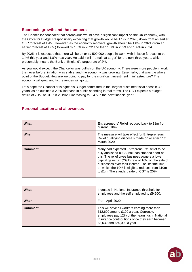#### **Economic growth and the numbers**

The Chancellor conceded that coronavirus would have a significant impact on the UK economy, with the Office for Budget Responsibility expecting that growth would be 1.1% in 2020, down from an earlier OBR forecast of 1.4%. However, as the economy recovers, growth should be 1.8% in 2021 (from an earlier forecast of 1.6%) followed by 1.5% in 2022 and then 1.3% in 2023 and 1.4% in 2024.

By 2025, it is expected that there will be an extra 500,000 people in work, with inflation forecast to be 1.4% this year and 1.8% next year. He said it will "remain at target" for the next three years, which presumably means the Bank of England's target rate of 2%.

As you would expect, the Chancellor was bullish on the UK economy. There were more people in work than ever before, inflation was stable, and the economy was growing. Essentially, that was the whole point of the Budget. How are we going to pay for the significant investment in infrastructure? The economy will grow and tax revenues will go up.

Let's hope the Chancellor is right: his Budget committed to the 'largest sustained fiscal boost in 30 years' as he outlined a 2.8% increase in public spending in real terms. The OBR expects a budget deficit of 2.1% of GDP in 2019/20, increasing to 2.4% in the next financial year.

| What           | Entrepreneurs' Relief reduced back to £1m from<br>current £10m.                                                                                                                                                                                                                                                                                               |
|----------------|---------------------------------------------------------------------------------------------------------------------------------------------------------------------------------------------------------------------------------------------------------------------------------------------------------------------------------------------------------------|
| When           | The measure will take effect for Entrepreneurs'<br>Relief qualifying disposals made on or after 11th<br>March 2020.                                                                                                                                                                                                                                           |
| <b>Comment</b> | Many had expected Entrepreneurs' Relief to be<br>fully abolished but Sunak has stopped short of<br>this. The relief gives business owners a lower<br>capital gains tax (CGT) rate of 10% on the sale of<br>businesses over their lifetime. The lifetime limit,<br>on which the 10% is eligible, reduces from £10m<br>to £1m. The standard rate of CGT is 20%. |

# **Personal taxation and allowances**

| What           | Increase in National Insurance threshold for<br>employees and the self employed to £9,500.                                                                                                                                |
|----------------|---------------------------------------------------------------------------------------------------------------------------------------------------------------------------------------------------------------------------|
| When           | From April 2020.                                                                                                                                                                                                          |
| <b>Comment</b> | This will save all workers earning more than<br>£12,600 around £100 a year. Currently,<br>employees pay 12% of their earnings in National<br>Insurance contributions once they earn between<br>£8,632 and £50,000 a year. |

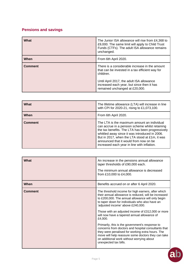# **Pensions and savings**

| What           | The Junior ISA allowance will rise from £4,368 to<br>£9,000. The same limit will apply to Child Trust<br>Funds (CTFs). The adult ISA allowance remains<br>unchanged.                                                                        |
|----------------|---------------------------------------------------------------------------------------------------------------------------------------------------------------------------------------------------------------------------------------------|
| When           | From 6th April 2020.                                                                                                                                                                                                                        |
| <b>Comment</b> | There is a considerable increase in the amount<br>that can be invested in a tax efficient way for<br>children.<br>Until April 2017, the adult ISA allowance<br>increased each year, but since then it has<br>remained unchanged at £20,000. |

| What           | The lifetime allowance (LTA) will increase in line<br>with CPI for 2020-21, rising to £1,073,100.                                                                                                                                                                                                                                               |
|----------------|-------------------------------------------------------------------------------------------------------------------------------------------------------------------------------------------------------------------------------------------------------------------------------------------------------------------------------------------------|
| When           | From 6th April 2020.                                                                                                                                                                                                                                                                                                                            |
| <b>Comment</b> | The LTA is the maximum amount an individual<br>can accrue in a pension scheme whilst retaining<br>the tax benefits. The LTA has been progressively<br>whittled away since it was introduced in 2006.<br>But in 2017, when the LTA stood at £1m, it was<br>announced that it would from now on be<br>increased each year in line with inflation. |

| <b>What</b>    | An increase in the pensions annual allowance<br>taper thresholds of £90,000 each.<br>The minimum annual allowance is decreased<br>from £10,000 to £4,000.                                                                                                                                                                                                             |
|----------------|-----------------------------------------------------------------------------------------------------------------------------------------------------------------------------------------------------------------------------------------------------------------------------------------------------------------------------------------------------------------------|
| When           | Benefits accrued on or after 6 April 2020.                                                                                                                                                                                                                                                                                                                            |
| <b>Comment</b> | The threshold income for high earners, after which<br>their annual allowance is reduced, will be increased<br>to £200,000. The annual allowance will only begin<br>to taper down for individuals who also have an<br>'adjusted income' above £240,000.<br>Those with an adjusted income of £312,000 or more<br>will now have a tapered annual allowance of<br>£4,000. |
|                | Primarily, this is the government's response to<br>concerns from doctors and hospital consultants that<br>they were penalised for working extra hours. The<br>move will help reassure some doctors they can take<br>on additional work without worrying about<br>unexpected tax bills.                                                                                |

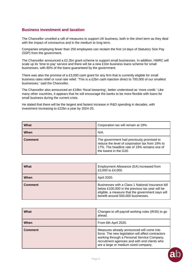### **Business investment and taxation**

The Chancellor unveiled a raft of measures to support UK business, both in the short term as they deal with the impact of coronavirus and in the medium to long term.

Companies employing fewer than 250 employees can reclaim the first 14 days of Statutory Sick Pay (SSP) from the government.

The Chancellor announced a £2.2bn grant scheme to support small businesses. In addition, HMRC will scale up its 'time to pay' service and there will be a new £1bn business loans scheme for small businesses, with 80% of the loans guaranteed by the government.

There was also the promise of a £3,000 cash grant for any firm that is currently eligible for small business rates relief or rural rate relief. 'This is a £2bn cash injection direct to 700,000 of our smallest businesses,' said the Chancellor.

The Chancellor also announced an £18bn 'fiscal loosening', better understood as 'more credit.' Like many other countries, it appears that he will encourage the banks to be more flexible with loans for small business during the current crisis.

He stated that there will be the largest and fastest increase in R&D spending in decades, with investment increasing to £22bn a year by 2024-25.

| What           | Corporation tax will remain at 19%.                                                                                                                                    |
|----------------|------------------------------------------------------------------------------------------------------------------------------------------------------------------------|
| When           | N/A.                                                                                                                                                                   |
| <b>Comment</b> | The government had previously promised to<br>reduce the level of corporation tax from 19% to<br>17%. The headline rate of 19% remains one of<br>the lowest in the G20. |

| What           | Employment Allowance (EA) increased from<br>£3,000 to £4,000.                                                                                                                                   |
|----------------|-------------------------------------------------------------------------------------------------------------------------------------------------------------------------------------------------|
| When           | April 2020.                                                                                                                                                                                     |
| <b>Comment</b> | Businesses with a Class 1 National Insurance bill<br>below £100,000 in the previous tax year will be<br>eligible, a measure that the government says will<br>benefit around 500,000 businesses. |

| What           | Changes to off-payroll working rules (IR35) to go<br>ahead.                                                                                                                                                                             |
|----------------|-----------------------------------------------------------------------------------------------------------------------------------------------------------------------------------------------------------------------------------------|
| When           | From 6th April 2020.                                                                                                                                                                                                                    |
| <b>Comment</b> | Measures already announced will come into<br>force. The new legislation will affect contractors<br>working through a Personal Service Company,<br>recruitment agencies and with end clients who<br>are a large or medium sized company. |

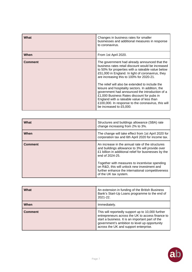| What           | Changes in business rates for smaller<br>businesses and additional measures in response<br>to coronavirus.                                                                                                                                                                                                                           |
|----------------|--------------------------------------------------------------------------------------------------------------------------------------------------------------------------------------------------------------------------------------------------------------------------------------------------------------------------------------|
| When           | From 1st April 2020.                                                                                                                                                                                                                                                                                                                 |
| <b>Comment</b> | The government had already announced that the<br>business rates retail discount would be increased<br>to 50% for properties with a rateable value below<br>£51,000 in England. In light of coronavirus, they<br>are increasing this to 100% for 2020-21.                                                                             |
|                | The relief will also be extended to include the<br>leisure and hospitality sectors. In addition, the<br>government had announced the introduction of a<br>£1,000 Business Rates discount for pubs in<br>England with a rateable value of less than<br>£100,000. In response to the coronavirus, this will<br>be increased to £5,000. |

| What           | Structures and buildings allowance (SBA) rate<br>change increasing from 2% to 3%.                                                                                                                                                                                                                                                                              |
|----------------|----------------------------------------------------------------------------------------------------------------------------------------------------------------------------------------------------------------------------------------------------------------------------------------------------------------------------------------------------------------|
| When           | The change will take effect from 1st April 2020 for<br>corporation tax and 6th April 2020 for income tax.                                                                                                                                                                                                                                                      |
| <b>Comment</b> | An increase in the annual rate of the structures<br>and buildings allowance to 3% will provide over<br>£1 billion in additional relief for businesses by the<br>end of 2024-25.<br>Together with measures to incentivise spending<br>on R&D, this will unlock new investment and<br>further enhance the international competitiveness<br>of the UK tax system. |

| What           | An extension in funding of the British Business<br>Bank's Start-Up Loans programme to the end of<br>$2021 - 22$ .                                                                                                                                   |
|----------------|-----------------------------------------------------------------------------------------------------------------------------------------------------------------------------------------------------------------------------------------------------|
| When           | Immediately.                                                                                                                                                                                                                                        |
| <b>Comment</b> | This will reportedly support up to 10,000 further<br>entrepreneurs across the UK to access finance to<br>start a business. It is an important part of the<br>government's ambition to level up opportunity<br>across the UK and support enterprise. |

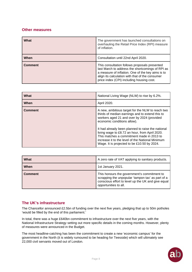# **Other measures**

| What           | The government has launched consultations on<br>overhauling the Retail Price Index (RPI) measure<br>of inflation.                                                                                                                                      |
|----------------|--------------------------------------------------------------------------------------------------------------------------------------------------------------------------------------------------------------------------------------------------------|
| When           | Consultation until 22nd April 2020.                                                                                                                                                                                                                    |
| <b>Comment</b> | This consultation follows proposals presented<br>last March to address the shortcomings of RPI as<br>a measure of inflation. One of the key aims is to<br>align its calculation with that of the consumer<br>price index (CPI) including housing cost. |

| What           | National Living Wage (NLW) to rise by 6.2%.                                                                                                                                                                                                                                                                                                                                                                                             |
|----------------|-----------------------------------------------------------------------------------------------------------------------------------------------------------------------------------------------------------------------------------------------------------------------------------------------------------------------------------------------------------------------------------------------------------------------------------------|
| When           | April 2020.                                                                                                                                                                                                                                                                                                                                                                                                                             |
| <b>Comment</b> | A new, ambitious target for the NLW to reach two<br>thirds of median earnings and to extend this to<br>workers aged 21 and over by 2024 (provided<br>economic conditions allow).<br>It had already been planned to raise the national<br>living wage to £8.72 an hour, from April 2020.<br>This matches a commitment made in 2013 to<br>increase it to the level of the National Minimum<br>Wage. It is projected to be £10.50 by 2024. |

| What           | A zero rate of VAT applying to sanitary products.                                                                                                                               |
|----------------|---------------------------------------------------------------------------------------------------------------------------------------------------------------------------------|
| When           | 1st January 2021.                                                                                                                                                               |
| <b>Comment</b> | This honours the government's commitment to<br>scrapping the unpopular 'tampon tax' as part of a<br>conscious effort to level up the UK and give equal<br>opportunities to all. |

#### **The UK's infrastructure**

The Chancellor announced £2.5bn of funding over the next five years, pledging that up to 50m potholes 'would be filled by the end of this parliament.'

In total, there was a huge £640bn commitment to infrastructure over the next five years, with the National Infrastructure Strategy setting out more specific details in the coming months. However, plenty of measures were announced in the Budget.

The most headline-catching has been the commitment to create a new 'economic campus' for the government in the North (it is widely rumoured to be heading for Teesside) which will ultimately see 22,000 civil servants moved out of London.

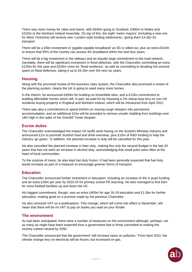There was more money for cities and towns, with £640m going to Scotland, £360m to Wales and £210m to the Northern Ireland Assembly. On top of this, the eight 'metro mayors' (including a new one for West Yorkshire) will receive new 'London-style funding settlements,' giving them £4.2bn for transport.

There will be a £5bn investment in 'gigabit-capable broadband' as 5G is rolled out, plus an extra £510m to ensure that 95% of the country can access 4G broadband within the next four years.

There will be a big investment in the railways and an equally large commitment to the road network. Inevitably, there will be significant investment in flood defences, with the Chancellor committing an extra £120m for this year and £200m more for 'flood resilience,' as well as committing to doubling the amount spent on flood defences, taking it up to £5.2bn over the next six years.

#### **Housing**

Along with the promised review of the business rates system, the Chancellor also promised a review of the planning system: clearly the UK is going to need many more homes.

In the interim, he announced £400m for building on brownfield sites, and a £12bn commitment to building affordable homes which will, in part, be paid for by imposing a 2% stamp duty levy on non-UK residents buying property in England and Northern Ireland, which will be introduced from April 2021.

There was also a commitment to spend £643m on moving rough sleepers into permanent accommodation, and an additional £1bn will be provided to remove unsafe cladding from buildings over 18m high in the wake of the Grenfell Tower disaster.

# **Excise duties**

The Chancellor acknowledged the impact US tariffs were having on the Scottish Whiskey industry and announced £1m to promote Scottish food and drink overseas, plus £10m of R&D funding to help the industry 'go green.' In addition, the planned increase in duty will be cancelled for this year.

He also cancelled the planned increase in beer duty, making this only the second Budget in the last 20 years that has not seen an increase in alcohol duty, acknowledging that small pubs were often at the heart of local communities.

To the surprise of many, he also kept fuel duty frozen. It had been generally expected that fuel duty would increase as part of a measure to encourage greener forms of transport.

# **Education**

The Chancellor announced further investment in education, including an increase of 4% in pupil funding and an extra £29m per year by 2023-24 for primary school PE teaching. He also managed to find £8m for more football facilities up and down the UK.

His biggest commitment, though, was an extra £400m for age 16-19 education and £1.5bn for further education, making good on a promise made by the previous Chancellor.

He also removed VAT on e-publications. This change, which will come into effect in December, will mean that there will be no VAT to pay on books you read on your Kindle.

#### **The environment**

As had been anticipated, there were a number of measures on the environment although, perhaps, not as many as might have been expected from a government that is firmly committed to making the country carbon-neutral by 2050.

The Chancellor announced that the government 'will increase taxes on pollution.' From April 2022, the climate change levy on electricity will be frozen, but increased on gas.